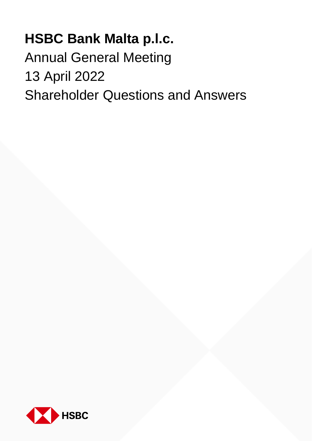## **HSBC Bank Malta p.l.c.**

Annual General Meeting 13 April 2022 Shareholder Questions and Answers

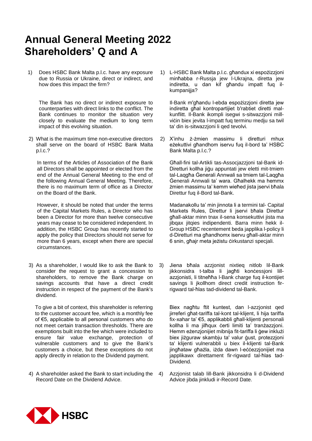## **Annual General Meeting 2022 Shareholders' Q and A**

1) Does HSBC Bank Malta p.l.c. have any exposure due to Russia or Ukraine, direct or indirect, and how does this impact the firm?

The Bank has no direct or indirect exposure to counterparties with direct links to the conflict. The Bank continues to monitor the situation very closely to evaluate the medium to long term impact of this evolving situation.

2) What is the maximum time non-executive directors shall serve on the board of HSBC Bank Malta p.l.c.?

In terms of the Articles of Association of the Bank all Directors shall be appointed or elected from the end of the Annual General Meeting to the end of the following Annual General Meeting. Therefore, there is no maximum term of office as a Director on the Board of the Bank.

However, it should be noted that under the terms of the Capital Markets Rules, a Director who has been a Director for more than twelve consecutive years may cease to be considered independent. In addition, the HSBC Group has recently started to apply the policy that Directors should not serve for more than 6 years, except when there are special circumstances.

3) As a shareholder, I would like to ask the Bank to consider the request to grant a concession to shareholders, to remove the Bank charge on savings accounts that have a direct credit instruction in respect of the payment of the Bank's dividend.

To give a bit of context, this shareholder is referring to the customer account fee, which is a monthly fee of €5, applicable to all personal customers who do not meet certain transaction thresholds. There are exemptions built into the fee which were included to ensure fair value exchange, protection of vulnerable customers and to give the Bank's customers a choice, but these exceptions do not apply directly in relation to the Dividend payment.

4) A shareholder asked the Bank to start including the Record Date on the Dividend Advice.

1) L-HSBC Bank Malta p.l.c. għandux xi espożizzjoni minħabba r-Russja jew l-Ukrajna, diretta jew indiretta, u dan kif għandu impatt fuq ilkumpanijja?

Il-Bank m'għandu l-ebda espożizzjoni diretta jew indiretta għal kontropartijiet b'rabtiet diretti malkunflitt. Il-Bank ikompli isegwi s-sitwazzjoni millviċin biex jevita l-impatt fuq terminu medju sa twil ta' din is-sitwazzjoni li qed tevolvi.

2) X'inhu ż-żmien massimu li diretturi mhux eżekuttivi għandhom iservu fuq il-bord ta' HSBC Bank Malta p.l.c.?

Għall-fini tal-Artikli tas-Assocjazzjoni tal-Bank id-Diretturi kollha jiġu appuntati jew eletti mit-tmiem tal-Laqgħa Ġenerali Annwali sa tmiem tal-Laqgħa Ġenerali Annwali ta' wara. Għalhekk ma hemmx żmien massimu ta' kemm wieħed jista jservi bħala Direttur fuq il-Bord tal-Bank.

Madanakollu ta' min jinnota li a termini tal- Capital Markets Rules, Direttur li jservi bħala Direttur għall-aktar minn tnax il-sena konsekuttivi jista ma jibqax jitqies indipendenti. Barra minn hekk il-Group HSBC recentement beda japplika l-policy li d-Diretturi ma għandhomx iservu għall-aktar minn 6 snin, għajr meta jeżistu ċirkustanzi specjali.

3) Jiena bħala azzjonist nixtieq nitlob lil-Bank jikkonsidra t-talba li jagħti konċessjoni lillazzjonisti, li titneħħa l-Bank charge fuq il-kontijiet savings li jkollhom direct credit instruction firrigward tal-ħlas tad-dividend tal-Bank.

Biex nagħtu ftit kuntest, dan l-azzjonist qed jirreferi għat-tariffa tal-kont tal-klijent, li hija tariffa fix-xahar ta' €5, applikabbli għall-klijenti personali kollha li ma jilħqux ċerti limiti ta' tranżazzjoni. Hemm eżenzjonijiet mibnija fit-tariffa li ġew inklużi biex jiżguraw skambju ta' valur ġust, protezzjoni ta' klijenti vulnerabbli u biex il-klijenti tal-Bank jingħataw għażla, iżda dawn l-eċċezzjonijiet ma japplikawx direttament fir-rigward tal-ħlas tad-Dividend.

4) Azzjonist talab lill-Bank jikkonsidra li d-Dividend Advice jibda jinkludi ir-Record Date.

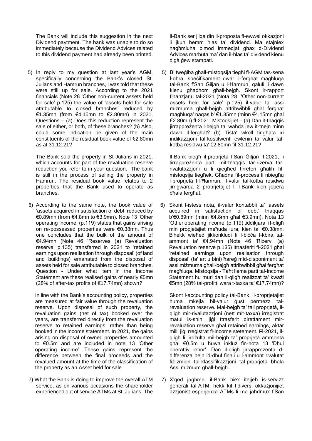The Bank will include this suggestion in the next Dividend paytment. The bank was unable to do so immediately because the Dividend Advices related to this dividend payment had already been printed.

5) In reply to my question at last year's AGM, specifically concerning the Bank's closed St. Julians and Hamrun branches, I was told that these were still up for sale. According to the 2021 financials (Note 28 'Other non-current assets held for sale' p.125) the value of 'assets held for sale attributable to closed branches' reduced by €1.35mn (from €4.15mn to €2.80mn) in 2021. Questions – (a) Does this reduction represent the sale of either, or both, of these branches? (b) Also, could some indication be given of the main constituents of the residual book value of €2.80mn as at 31.12.21?

The Bank sold the property in St Julians in 2021, which accounts for part of the revaluation reserve reduction you refer to in your question. The bank is still in the process of selling the property in Hamrun. The residual book value relates to 2 properties that the Bank used to operate as branches.

6) According to the same note, the book value of 'assets acquired in satisfaction of debt' reduced by €0.89mn (from €4.8mn to €3.9mn). Note 13 'Other operating income' (p.119) states that gains arising on re-possessed properties were €0.38mn. Thus one concludes that the bulk of the amount of €4.94mn (Note 46 'Reserves (a) Revaluation reserve' p.135) transferred in 2021 to 'retained earnings upon realisation through disposal' (of land and buildings) emanated from the disposal of assets held for sale attributable to closed branches. Question - Under what item in the Income Statement are these realised gains of nearly €5mn (28% of after-tax profits of €17.74mn) shown?

In line with the Bank's accounting policy, properties are measured at fair value through the revaluation reserve. Upon disposal of such property, the revaluation gains (net of tax) booked over the years, are transferred directly from the revaluation reserve to retained earnings, rather than being booked in the income statement. In 2021, the gains arising on disposal of owned properties amounted to €0.5m and are included in note 13 'Other operating income'. These gains represent the difference between the final proceeds and the revalued amount at the time of the classification of the property as an Asset held for sale.

7) What the Bank is doing to improve the overall ATM service, as on various occasions the shareholder experienced out of service ATMs at St. Julians. The Il-Bank ser jilqa din il-proposta fl-ewwel okkazjoni li jkun hemm ħlas ta' dividend. Ma stajniex nagħmluha b'mod immedjat ghax d-Dividend Advices marbuta ma' dan il-ħlas ta' dividend kienu digà ġew stampati.

5) Bi tweġiba għall-mistoqsija tiegħi fl-AGM tas-sena l-oħra, speċifikament dwar il-fergħat magħluqa tal-Bank f'San Ġiljan u l-Ħamrun, qaluli li dawn kienu għadhom għall-bejgħ. Skont ir-rapport finanzjarju tal-2021 (Nota 28 'Other non-current assets held for sale' p.125) il-valur ta' assi miżmuma għall-bejgħ attribwibbli għal fergħat magħluqa' naqas b' €1.35mn (minn €4.15mn għal €2.80mn) fl-2021. Mistoqsijiet – (a) Dan it-tnaqqis jirrappreżenta l-bejgħ ta' waħda jew it-tnejn minn dawn il-fergħat? (b) Tista' wkoll tingħata xi indikazzjoni tal-kostitwenti ewlenin tal-valur talkotba residwu ta' €2.80mn fil-31.12.21?

Il-Bank biegħ il-proprjetà f'San Ġiljan fl-2021, li tirrappreżenta parti mit-tnaqqis tar-riżerva tarrivalutazzjoni u li qiegħed tirreferi għalih filmistoqsija tiegħek. Għadna fil-proċess li nbiegħu l-proprjetà fil-Ħamrun. Il-valur tal-kotba residwu jirrigwarda 2 proprjetajiet li l-Bank kien jopera bħala fergħat.

6) Skont l-istess nota, il-valur kontabbli ta' 'assets acquired in satisfaction of debt' tnaqqas b'€0.89mn (minn €4.8mn għal €3.9mn). Nota 13 'Other operating income' (p.119) tiddikjara li l-qligħ min propjetajiet meħuda lura, kien ta' €0.38mn. B'hekk wieħed jikkonkludi li l-biċċa l-kbira talammont ta' €4.94mn (Nota 46 'Riżervi (a) Revaluation reserve p.135) ittrasferiti fl-2021 għal 'retained earnings upon realisation through disposal' (ta' art u bini) ħareġ mid-disponiment ta' assi miżmuma għall-bejgħ attribwibbli għal fergħat magħluqa. Mistoqsija - Taħt liema parti tal-Income Statement hu muri dan il-qligħ realizzat ta' kważi €5mn (28% tal-profitti wara t-taxxa ta' €17.74mn)?

Skont l-accounting policy tal-Bank, il-proprjetajiet huma mkejla bil-valur ġust permezz talrevaluation reserve. Mal-bejgħ ta' tali proprjetà, ilqligħ mir-rivalutazzjoni (nett mit-taxxa) irreġistrat matul is-snin, jiġi ttrasferit direttament mirrevaluation reserve għal retained earnings, aktar milli jiġi rreġistrat fl-income stetement. Fl-2021, ilqligħ li jirriżulta mil-bejgħ ta' proprjetà ammonta għal €0.5m u huwa inkluż fin-nota 13 'Dħul operattiv ieħor'. Dan il-qligħ jirrappreżenta ddifferenza bejn id-dħul finali u l-ammont rivalutat fiż-żmien tal-klassifikazzjoni tal-proprjetà bħala Assi miżmum għall-bejgħ.

7) X'qed jagħmel il-Bank biex itejjeb is-servizz ġenerali tal-ATM, hekk kif f'diversi okkażjonijiet azzjonist esperjenza ATMs li ma jaħdmux f'San